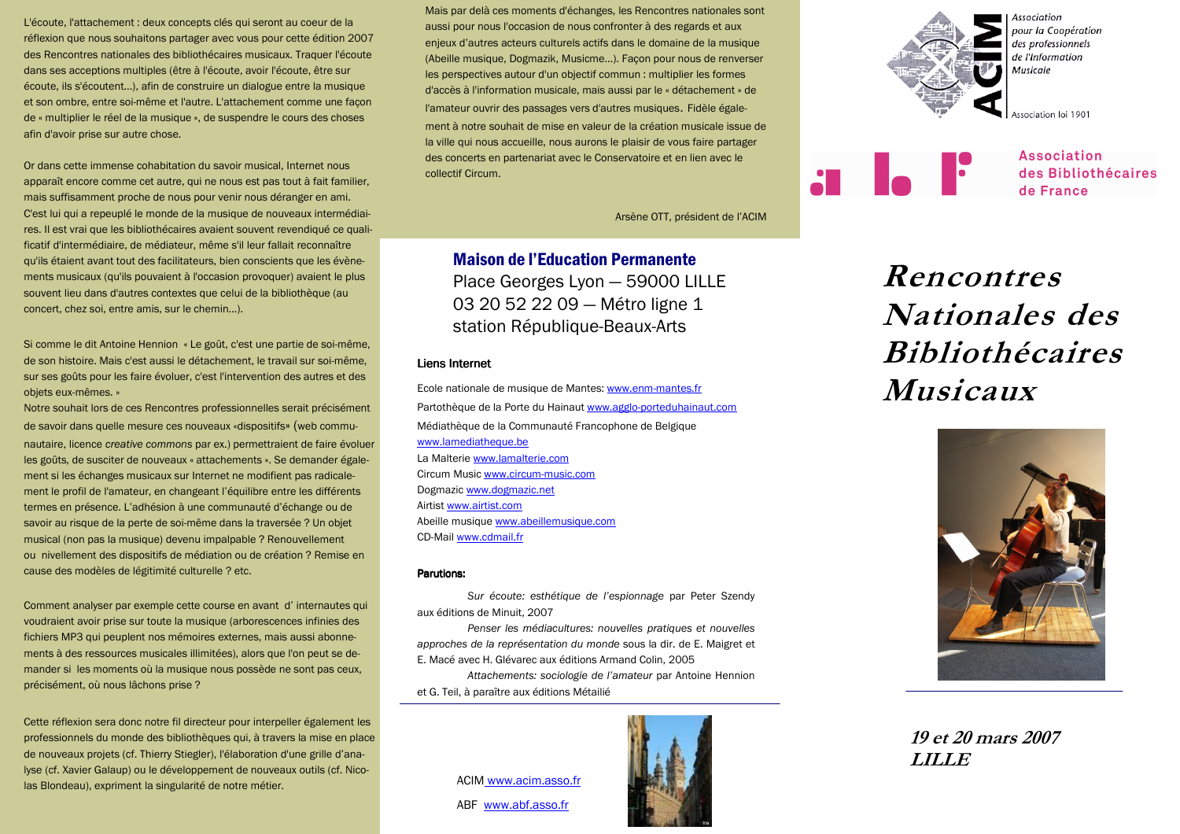L'écoute, l'attachement : deux concepts clés qui seront au coeur de la réflexion que nous souhaitons partager avec vous pour cette édition 2007 des Rencontres nationales des bibliothécaires musicaux. Traquer l'écoute dans ses acceptions multiples (être à l'écoute, avoir l'écoute, être sur écoute, ils s'écoutent...), afin de construire un dialogue entre la musique et son ombre, entre soi-même et l'autre. L'attachement comme une façon de « multiplier le réel de la musique », de suspendre le cours des choses afin d'avoir prise sur autre chose.

Or dans cette immense cohabitation du savoir musical, Internet nous apparaît encore comme cet autre, qui ne nous est pas tout à fait familier, mais suffisamment proche de nous pour venir nous déranger en ami. C'est lui qui a repeuplé le monde de la musique de nouveaux intermédiaires. Il est vrai que les bibliothécaires avaient souvent revendiqué ce qualificatif d'intermédiaire, de médiateur, même s'il leur fallait reconnaître qu'ils étaient avant tout des facilitateurs, bien conscients que les évènements musicaux (qu'ils pouvaient à l'occasion provoquer) avaient le plus souvent lieu dans d'autres contextes que celui de la bibliothèque (au concert, chez soi, entre amis, sur le chemin...).

Si comme le dit Antoine Hennion « Le goût, c'est une partie de soi-même, de son histoire. Mais c'est aussi le détachement, le travail sur soi-même. sur ses goûts pour les faire évoluer, c'est l'intervention des autres et des obiets eux-mêmes. »

Notre souhait lors de ces Rencontres professionnelles serait précisément de savoir dans quelle mesure ces nouveaux «dispositifs» (web communautaire, licence creative commons par ex.) permettraient de faire évoluer les goûts, de susciter de nouveaux « attachements ». Se demander également si les échanges musicaux sur Internet ne modifient pas radicalement le profil de l'amateur, en changeant l'équilibre entre les différents termes en présence. L'adhésion à une communauté d'échange ou de savoir au risque de la perte de soi-même dans la traversée ? Un objet musical (non pas la musique) devenu impalpable ? Renouvellement ou nivellement des dispositifs de médiation ou de création ? Remise en cause des modèles de légitimité culturelle ? etc.

Comment analyser par exemple cette course en avant d'internautes qui voudraient avoir prise sur toute la musique (arborescences infinies des fichiers MP3 qui peuplent nos mémoires externes, mais aussi abonnements à des ressources musicales illimitées), alors que l'on peut se demander si les moments où la musique nous possède ne sont pas ceux, précisément, où nous lâchons prise ?

Cette réflexion sera donc notre fil directeur pour interpeller également les professionnels du monde des bibliothèques qui, à travers la mise en place de nouveaux projets (cf. Thierry Stiegler), l'élaboration d'une grille d'analyse (cf. Xavier Galaup) ou le développement de nouveaux outils (cf. Nicolas Blondeau), expriment la singularité de notre métier.

Mais par delà ces moments d'échanges, les Rencontres nationales sont aussi pour nous l'occasion de nous confronter à des regards et aux enjeux d'autres acteurs culturels actifs dans le domaine de la musique (Abeille musique, Dogmazik, Musicme...). Facon pour nous de renverser les perspectives autour d'un objectif commun : multiplier les formes d'accès à l'information musicale, mais aussi par le « détachement » de l'amateur ouvrir des passages vers d'autres musiques. Fidèle également à notre souhait de mise en valeur de la création musicale issue de la ville qui nous accueille, nous aurons le plaisir de vous faire partager des concerts en partenariat avec le Conservatoire et en lien avec le collectif Circum.

Arsène OTT, président de l'ACIM

# **Maison de l'Education Permanente**

Place Georges Lyon - 59000 LILLE 03 20 52 22 09 - Métro ligne 1 station République-Beaux-Arts

#### **Liens Internet**

Ecole nationale de musique de Mantes: www.enm-mantes.fr Partothèque de la Porte du Hainaut www.agglo-porteduhainaut.com Médiathèque de la Communauté Francophone de Belgique www.lamediatheque.be La Malterie www.lamalterie.com Circum Music www.circum-music.com Dogmazic www.dogmazic.net Airtist www.airtist.com Abeille musique www.abeillemusique.com CD-Mail www.cdmail.fr

#### **Parutions:**

Sur écoute: esthétique de l'espionnage par Peter Szendy aux éditions de Minuit, 2007

Penser les médiacultures: nouvelles pratiques et nouvelles approches de la représentation du monde sous la dir. de E. Maigret et E. Macé avec H. Glévarec aux éditions Armand Colin, 2005

Attachements: sociologie de l'amateur par Antoine Hennion et G. Teil, à paraître aux éditions Métailié

> ACIM www.acim.asso.fr ABF www.abf.asso.fr





I. F

**Association** des Bibliothécaires de France

Rencontres **Nationales** des **Bibliothécaires Musicaux** 



# 19 et 20 mars 2007 **LILLE**